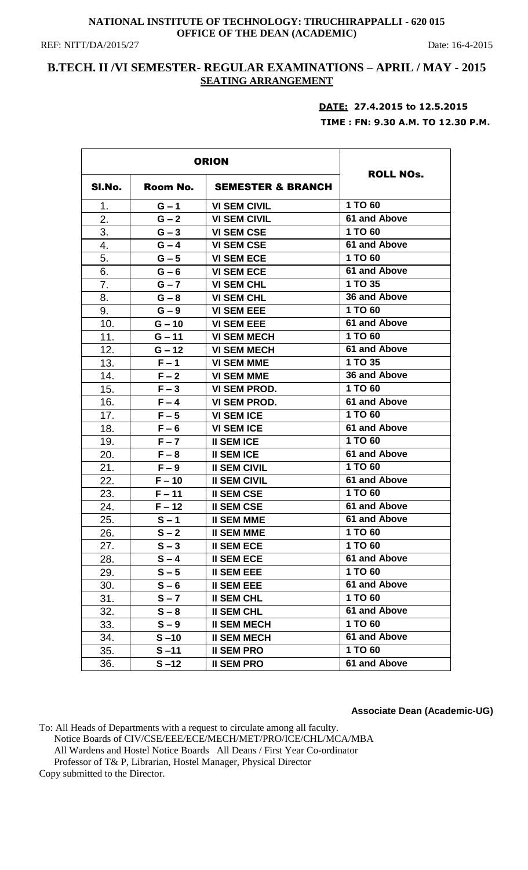### **NATIONAL INSTITUTE OF TECHNOLOGY: TIRUCHIRAPPALLI - 620 015 OFFICE OF THE DEAN (ACADEMIC)**

REF: NITT/DA/2015/27 Date: 16-4-2015

# **B.TECH. II /VI SEMESTER- REGULAR EXAMINATIONS – APRIL / MAY - 2015 SEATING ARRANGEMENT**

# **DATE: 27.4.2015 to 12.5.2015 TIME : FN: 9.30 A.M. TO 12.30 P.M.**

|        | <b>ORION</b> |                              |                  |
|--------|--------------|------------------------------|------------------|
| SI.No. | Room No.     | <b>SEMESTER &amp; BRANCH</b> | <b>ROLL NOs.</b> |
| 1.     | $G - 1$      | <b>VI SEM CIVIL</b>          | 1 TO 60          |
| 2.     | $G - 2$      | <b>VI SEM CIVIL</b>          | 61 and Above     |
| 3.     | $G - 3$      | <b>VI SEM CSE</b>            | 1 TO 60          |
| 4.     | $G - 4$      | <b>VI SEM CSE</b>            | 61 and Above     |
| 5.     | $G - 5$      | <b>VI SEM ECE</b>            | 1 TO 60          |
| 6.     | $G - 6$      | <b>VI SEM ECE</b>            | 61 and Above     |
| 7.     | $G - 7$      | <b>VI SEM CHL</b>            | 1 TO 35          |
| 8.     | $G - 8$      | <b>VI SEM CHL</b>            | 36 and Above     |
| 9.     | $G - 9$      | <b>VI SEM EEE</b>            | 1 TO 60          |
| 10.    | $G - 10$     | <b>VI SEM EEE</b>            | 61 and Above     |
| 11.    | $G - 11$     | <b>VI SEM MECH</b>           | 1 TO 60          |
| 12.    | $G - 12$     | <b>VI SEM MECH</b>           | 61 and Above     |
| 13.    | $F - 1$      | <b>VI SEM MME</b>            | 1 TO 35          |
| 14.    | $F - 2$      | <b>VI SEM MME</b>            | 36 and Above     |
| 15.    | $F - 3$      | <b>VI SEM PROD.</b>          | 1 TO 60          |
| 16.    | $F - 4$      | <b>VI SEM PROD.</b>          | 61 and Above     |
| 17.    | $F - 5$      | <b>VI SEM ICE</b>            | 1 TO 60          |
| 18.    | $F - 6$      | <b>VI SEM ICE</b>            | 61 and Above     |
| 19.    | $F - 7$      | <b>II SEM ICE</b>            | 1 TO 60          |
| 20.    | $F - 8$      | <b>II SEM ICE</b>            | 61 and Above     |
| 21.    | $F - 9$      | <b>II SEM CIVIL</b>          | 1 TO 60          |
| 22.    | $F - 10$     | <b>II SEM CIVIL</b>          | 61 and Above     |
| 23.    | $F - 11$     | <b>II SEM CSE</b>            | 1 TO 60          |
| 24.    | $F - 12$     | <b>II SEM CSE</b>            | 61 and Above     |
| 25.    | $S - 1$      | <b>II SEM MME</b>            | 61 and Above     |
| 26.    | $S - 2$      | <b>II SEM MME</b>            | 1 TO 60          |
| 27.    | $S - 3$      | <b>II SEM ECE</b>            | 1 TO 60          |
| 28.    | $S - 4$      | <b>II SEM ECE</b>            | 61 and Above     |
| 29.    | $S - 5$      | <b>II SEM EEE</b>            | 1 TO 60          |
| 30.    | $S - 6$      | <b>II SEM EEE</b>            | 61 and Above     |
| 31.    | $S - 7$      | <b>II SEM CHL</b>            | 1 TO 60          |
| 32.    | $S - 8$      | <b>II SEM CHL</b>            | 61 and Above     |
| 33.    | $S - 9$      | <b>II SEM MECH</b>           | 1 TO 60          |
| 34.    | $S - 10$     | <b>II SEM MECH</b>           | 61 and Above     |
| 35.    | $S - 11$     | <b>II SEM PRO</b>            | 1 TO 60          |
| 36.    | $S - 12$     | <b>II SEM PRO</b>            | 61 and Above     |

**Associate Dean (Academic-UG)**

To: All Heads of Departments with a request to circulate among all faculty. Notice Boards of CIV/CSE/EEE/ECE/MECH/MET/PRO/ICE/CHL/MCA/MBA All Wardens and Hostel Notice Boards All Deans / First Year Co-ordinator Professor of T& P, Librarian, Hostel Manager, Physical Director Copy submitted to the Director.